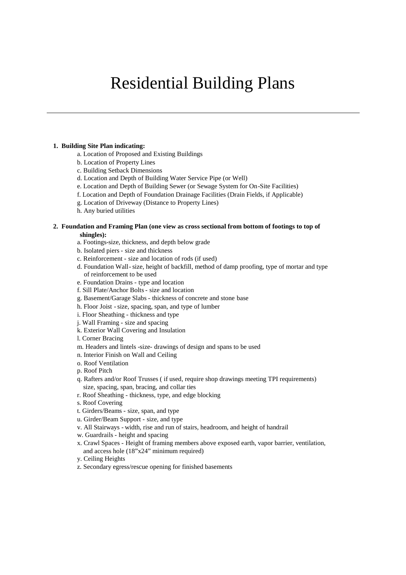# Residential Building Plans

## **1. Building Site Plan indicating:**

- a. Location of Proposed and Existing Buildings
- b. Location of Property Lines
- c. Building Setback Dimensions
- d. Location and Depth of Building Water Service Pipe (or Well)
- e. Location and Depth of Building Sewer (or Sewage System for On-Site Facilities)
- f. Location and Depth of Foundation Drainage Facilities (Drain Fields, if Applicable)
- g. Location of Driveway (Distance to Property Lines)
- h. Any buried utilities

### **2. Foundation and Framing Plan (one view as cross sectional from bottom of footings to top of shingles):**

- a. Footings-size, thickness, and depth below grade
- b. Isolated piers size and thickness
- c. Reinforcement size and location of rods (if used)
- d. Foundation Wall-size, height of backfill, method of damp proofing, type of mortar and type of reinforcement to be used
- e. Foundation Drains type and location
- f. Sill Plate/Anchor Bolts size and location
- g. Basement/Garage Slabs thickness of concrete and stone base
- h. Floor Joist size, spacing, span, and type of lumber
- i. Floor Sheathing thickness and type
- j. Wall Framing size and spacing
- k. Exterior Wall Covering and Insulation
- l. Corner Bracing
- m. Headers and lintels -size- drawings of design and spans to be used
- n. Interior Finish on Wall and Ceiling
- o. Roof Ventilation
- p. Roof Pitch
- q. Rafters and/or Roof Trusses ( if used, require shop drawings meeting TPI requirements) size, spacing, span, bracing, and collar ties
- r. Roof Sheathing thickness, type, and edge blocking
- s. Roof Covering
- t. Girders/Beams size, span, and type
- u. Girder/Beam Support size, and type
- v. All Stairways width, rise and run of stairs, headroom, and height of handrail
- w. Guardrails height and spacing
- x. Crawl Spaces Height of framing members above exposed earth, vapor barrier, ventilation, and access hole (18"x24" minimum required)
- y. Ceiling Heights
- z. Secondary egress/rescue opening for finished basements